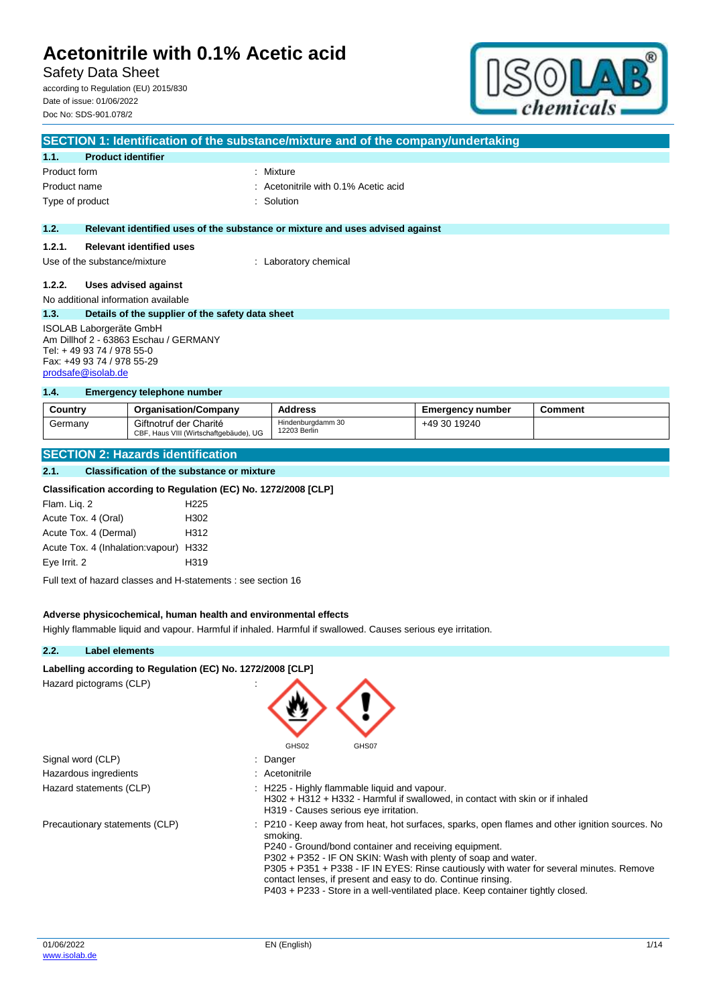Safety Data Sheet according to Regulation (EU) 2015/830

Date of issue: 01/06/2022 Doc No: SDS-901.078/2



|                                                                                                                                                          | SECTION 1: Identification of the substance/mixture and of the company/undertaking |                                                                               |  |  |  |
|----------------------------------------------------------------------------------------------------------------------------------------------------------|-----------------------------------------------------------------------------------|-------------------------------------------------------------------------------|--|--|--|
| 1.1.                                                                                                                                                     | <b>Product identifier</b>                                                         |                                                                               |  |  |  |
| Product form                                                                                                                                             |                                                                                   | : Mixture                                                                     |  |  |  |
| Product name                                                                                                                                             |                                                                                   | : Acetonitrile with 0.1% Acetic acid                                          |  |  |  |
| Type of product                                                                                                                                          |                                                                                   | : Solution                                                                    |  |  |  |
|                                                                                                                                                          |                                                                                   |                                                                               |  |  |  |
| 1.2.                                                                                                                                                     |                                                                                   | Relevant identified uses of the substance or mixture and uses advised against |  |  |  |
| 1.2.1.                                                                                                                                                   | <b>Relevant identified uses</b>                                                   |                                                                               |  |  |  |
|                                                                                                                                                          | Use of the substance/mixture                                                      | : Laboratory chemical                                                         |  |  |  |
| 1.2.2.                                                                                                                                                   | Uses advised against                                                              |                                                                               |  |  |  |
|                                                                                                                                                          | No additional information available                                               |                                                                               |  |  |  |
| 1.3.                                                                                                                                                     | Details of the supplier of the safety data sheet                                  |                                                                               |  |  |  |
| <b>ISOLAB Laborgeräte GmbH</b><br>Am Dillhof 2 - 63863 Eschau / GERMANY<br>Tel: +49 93 74 / 978 55-0<br>Fax: +49 93 74 / 978 55-29<br>prodsafe@isolab.de |                                                                                   |                                                                               |  |  |  |

#### **1.4. Emergency telephone number**

| Country | <b>Organisation/Company</b>                                      | <b>Address</b>                    | <b>Emergency number</b> | Comment |
|---------|------------------------------------------------------------------|-----------------------------------|-------------------------|---------|
| Germany | Giftnotruf der Charité<br>CBF, Haus VIII (Wirtschaftgebäude), UG | Hindenburgdamm 30<br>12203 Berlin | +49 30 19240            |         |

## **SECTION 2: Hazards identification**

#### **2.1. Classification of the substance or mixture**

### **Classification according to Regulation (EC) No. 1272/2008 [CLP]**

| Flam. Lig. 2                           | H <sub>225</sub> |
|----------------------------------------|------------------|
| Acute Tox. 4 (Oral)                    | H <sub>302</sub> |
| Acute Tox. 4 (Dermal)                  | H312             |
| Acute Tox. 4 (Inhalation: vapour) H332 |                  |
| Eye Irrit. 2                           | H319             |

Full text of hazard classes and H-statements : see section 16

#### **Adverse physicochemical, human health and environmental effects**

Highly flammable liquid and vapour. Harmful if inhaled. Harmful if swallowed. Causes serious eye irritation.

## **2.2. Label elements**

#### Labelling according to Regulation (EC) No. 1272/2008 [CLP]

| Hazard pictograms (CLP) |  |  |
|-------------------------|--|--|
|                         |  |  |

|                                | GHS02<br>GHS07                                                                                                                                                                                                                                                                                                                                                                                                                                                                     |
|--------------------------------|------------------------------------------------------------------------------------------------------------------------------------------------------------------------------------------------------------------------------------------------------------------------------------------------------------------------------------------------------------------------------------------------------------------------------------------------------------------------------------|
| Signal word (CLP)              | : Danger                                                                                                                                                                                                                                                                                                                                                                                                                                                                           |
| Hazardous ingredients          | : Acetonitrile                                                                                                                                                                                                                                                                                                                                                                                                                                                                     |
| Hazard statements (CLP)        | : H225 - Highly flammable liquid and vapour.<br>H302 + H312 + H332 - Harmful if swallowed, in contact with skin or if inhaled<br>H319 - Causes serious eye irritation.                                                                                                                                                                                                                                                                                                             |
| Precautionary statements (CLP) | : P210 - Keep away from heat, hot surfaces, sparks, open flames and other ignition sources. No<br>smoking.<br>P240 - Ground/bond container and receiving equipment.<br>P302 + P352 - IF ON SKIN: Wash with plenty of soap and water.<br>P305 + P351 + P338 - IF IN EYES: Rinse cautiously with water for several minutes. Remove<br>contact lenses, if present and easy to do. Continue rinsing.<br>P403 + P233 - Store in a well-ventilated place. Keep container tightly closed. |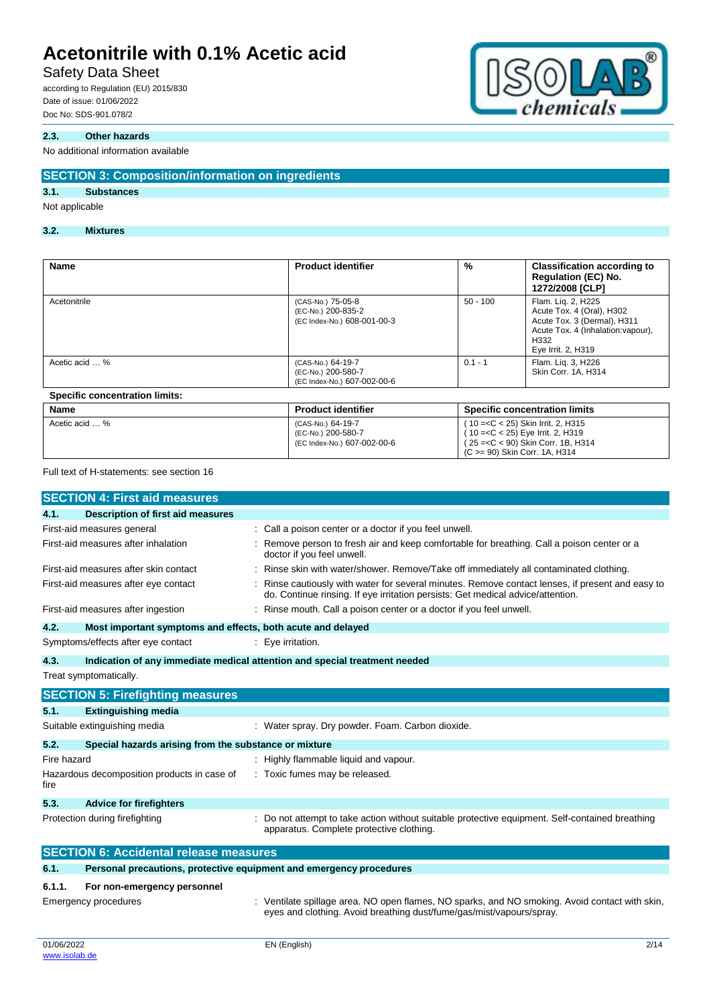## Safety Data Sheet

according to Regulation (EU) 2015/830 Date of issue: 01/06/2022 Doc No: SDS-901.078/2

## **2.3. Other hazards**

### No additional information available

## **SECTION 3: Composition/information on ingredients**

## **3.1. Substances**

#### Not applicable

### **3.2. Mixtures**

| <b>Name</b>                           | <b>Product identifier</b>                                              | %          | <b>Classification according to</b><br><b>Regulation (EC) No.</b><br>1272/2008 [CLP]                                                                |
|---------------------------------------|------------------------------------------------------------------------|------------|----------------------------------------------------------------------------------------------------------------------------------------------------|
| Acetonitrile                          | (CAS-No.) 75-05-8<br>(EC-No.) 200-835-2<br>(EC Index-No.) 608-001-00-3 | $50 - 100$ | Flam. Lig. 2, H225<br>Acute Tox. 4 (Oral), H302<br>Acute Tox. 3 (Dermal), H311<br>Acute Tox. 4 (Inhalation: vapour),<br>H332<br>Eye Irrit. 2, H319 |
| Acetic acid  %                        | (CAS-No.) 64-19-7<br>(EC-No.) 200-580-7<br>(EC Index-No.) 607-002-00-6 | $0.1 - 1$  | Flam. Lig. 3, H226<br>Skin Corr. 1A. H314                                                                                                          |
| <b>Specific concentration limits:</b> |                                                                        |            |                                                                                                                                                    |
| <b>Name</b>                           | <b>Product identifier</b>                                              |            | <b>Specific concentration limits</b>                                                                                                               |
| Acetic acid  %                        | (CAS-No.) 64-19-7                                                      |            | (10 = < C < 25) Skin Irrit. 2. H315                                                                                                                |

(EC-No.) 200-580-7 (EC Index-No.) 607-002-00-6

Full text of H-statements: see section 16

|                                               | <b>SECTION 4: First aid measures</b>                                |  |                                                                                                                                                                                   |  |  |
|-----------------------------------------------|---------------------------------------------------------------------|--|-----------------------------------------------------------------------------------------------------------------------------------------------------------------------------------|--|--|
| 4.1.                                          | <b>Description of first aid measures</b>                            |  |                                                                                                                                                                                   |  |  |
|                                               | First-aid measures general                                          |  | Call a poison center or a doctor if you feel unwell.                                                                                                                              |  |  |
|                                               | First-aid measures after inhalation                                 |  | Remove person to fresh air and keep comfortable for breathing. Call a poison center or a<br>doctor if you feel unwell.                                                            |  |  |
|                                               | First-aid measures after skin contact                               |  | Rinse skin with water/shower. Remove/Take off immediately all contaminated clothing.                                                                                              |  |  |
|                                               | First-aid measures after eye contact                                |  | Rinse cautiously with water for several minutes. Remove contact lenses, if present and easy to<br>do. Continue rinsing. If eye irritation persists: Get medical advice/attention. |  |  |
|                                               | First-aid measures after ingestion                                  |  | Rinse mouth. Call a poison center or a doctor if you feel unwell.                                                                                                                 |  |  |
| 4.2.                                          | Most important symptoms and effects, both acute and delayed         |  |                                                                                                                                                                                   |  |  |
|                                               | Symptoms/effects after eye contact                                  |  | Eye irritation.                                                                                                                                                                   |  |  |
| 4.3.                                          |                                                                     |  | Indication of any immediate medical attention and special treatment needed                                                                                                        |  |  |
|                                               | Treat symptomatically.                                              |  |                                                                                                                                                                                   |  |  |
|                                               | <b>SECTION 5: Firefighting measures</b>                             |  |                                                                                                                                                                                   |  |  |
| 5.1.                                          | <b>Extinguishing media</b>                                          |  |                                                                                                                                                                                   |  |  |
|                                               | Suitable extinguishing media                                        |  | : Water spray. Dry powder. Foam. Carbon dioxide.                                                                                                                                  |  |  |
| 5.2.                                          | Special hazards arising from the substance or mixture               |  |                                                                                                                                                                                   |  |  |
| Fire hazard                                   |                                                                     |  | Highly flammable liquid and vapour.                                                                                                                                               |  |  |
| fire                                          | Hazardous decomposition products in case of                         |  | : Toxic fumes may be released.                                                                                                                                                    |  |  |
| 5.3.                                          | <b>Advice for firefighters</b>                                      |  |                                                                                                                                                                                   |  |  |
|                                               | Protection during firefighting                                      |  | Do not attempt to take action without suitable protective equipment. Self-contained breathing<br>apparatus. Complete protective clothing.                                         |  |  |
| <b>SECTION 6: Accidental release measures</b> |                                                                     |  |                                                                                                                                                                                   |  |  |
| 6.1.                                          | Personal precautions, protective equipment and emergency procedures |  |                                                                                                                                                                                   |  |  |
| 6.1.1.                                        | For non-emergency personnel<br>Emergency procedures                 |  | : Ventilate spillage area. NO open flames, NO sparks, and NO smoking. Avoid contact with skin,<br>eyes and clothing. Avoid breathing dust/fume/gas/mist/vapours/spray.            |  |  |



( 10 =<C < 25) Eye Irrit. 2, H319 ( 25 =<C < 90) Skin Corr. 1B, H314 (C >= 90) Skin Corr. 1A, H314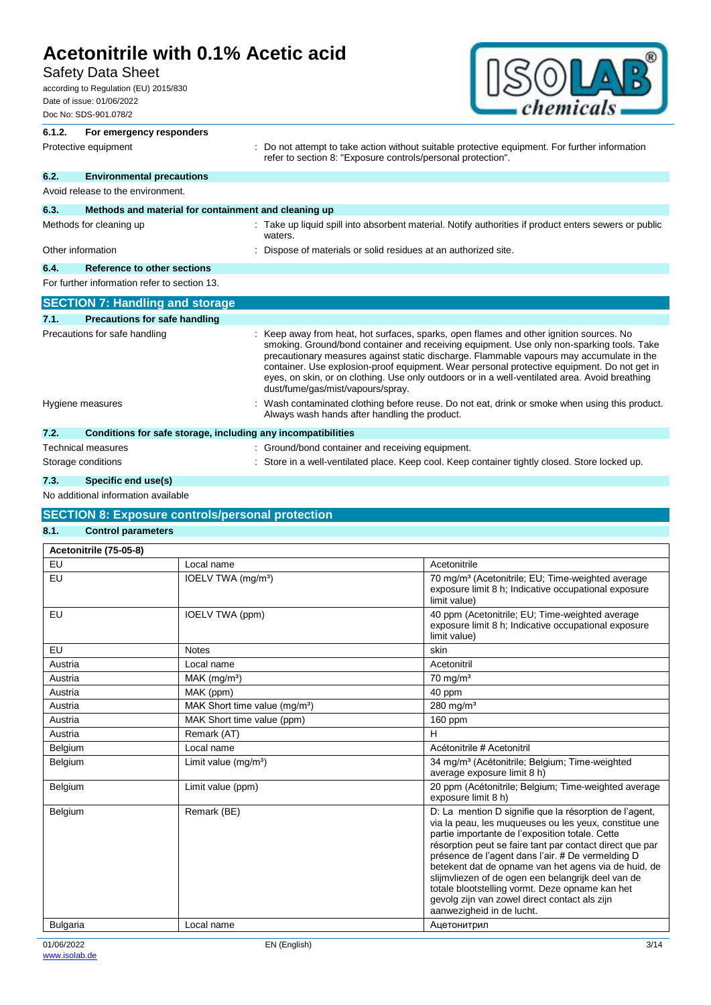## Safety Data Sheet

according to Regulation (EU) 2015/830 Date of issue: 01/06/2022 Doc No: SDS-901.078/2



## **6.1.2. For emergency responders** Protective equipment **interprotective** curves : Do not attempt to take action without suitable protective equipment. For further information refer to section 8: "Exposure controls/personal protection". **6.2. Environmental precautions** Avoid release to the environment. **6.3. Methods and material for containment and cleaning up** Methods for cleaning up **intercal cases** : Take up liquid spill into absorbent material. Notify authorities if product enters sewers or public waters. Other information **contains the container information** : Dispose of materials or solid residues at an authorized site. **6.4. Reference to other sections** For further information refer to section 13. **SECTION 7: Handling and storage 7.1. Precautions for safe handling** Precautions for safe handling : Keep away from heat, hot surfaces, sparks, open flames and other ignition sources. No smoking. Ground/bond container and receiving equipment. Use only non-sparking tools. Take precautionary measures against static discharge. Flammable vapours may accumulate in the container. Use explosion-proof equipment. Wear personal protective equipment. Do not get in eyes, on skin, or on clothing. Use only outdoors or in a well-ventilated area. Avoid breathing dust/fume/gas/mist/vapours/spray. Hygiene measures states of the state of the state of the contaminated clothing before reuse. Do not eat, drink or smoke when using this product. Always wash hands after handling the product. **7.2. Conditions for safe storage, including any incompatibilities**

| 7.2.               | Conditions for safe storage, including any incompatibilities                                   |
|--------------------|------------------------------------------------------------------------------------------------|
| Technical measures | : Ground/bond container and receiving equipment.                                               |
| Storage conditions | : Store in a well-ventilated place. Keep cool. Keep container tightly closed. Store locked up. |
|                    |                                                                                                |

## **7.3. Specific end use(s)**

No additional information available

## **SECTION 8: Exposure controls/personal protection**

### **8.1. Control parameters**

| Acetonitrile (75-05-8) |                                           |                                                                                                                                                                                                                                                                                                                                                                                                                                                                                                                                    |
|------------------------|-------------------------------------------|------------------------------------------------------------------------------------------------------------------------------------------------------------------------------------------------------------------------------------------------------------------------------------------------------------------------------------------------------------------------------------------------------------------------------------------------------------------------------------------------------------------------------------|
| EU                     | Local name                                | Acetonitrile                                                                                                                                                                                                                                                                                                                                                                                                                                                                                                                       |
| EU                     | IOELV TWA (mg/m <sup>3</sup> )            | 70 mg/m <sup>3</sup> (Acetonitrile; EU; Time-weighted average<br>exposure limit 8 h; Indicative occupational exposure<br>limit value)                                                                                                                                                                                                                                                                                                                                                                                              |
| EU                     | IOELV TWA (ppm)                           | 40 ppm (Acetonitrile; EU; Time-weighted average<br>exposure limit 8 h; Indicative occupational exposure<br>limit value)                                                                                                                                                                                                                                                                                                                                                                                                            |
| EU                     | <b>Notes</b>                              | skin                                                                                                                                                                                                                                                                                                                                                                                                                                                                                                                               |
| Austria                | Local name                                | Acetonitril                                                                                                                                                                                                                                                                                                                                                                                                                                                                                                                        |
| Austria                | $MAK$ (mg/m <sup>3</sup> )                | $70 \text{ mg/m}^3$                                                                                                                                                                                                                                                                                                                                                                                                                                                                                                                |
| Austria                | MAK (ppm)                                 | 40 ppm                                                                                                                                                                                                                                                                                                                                                                                                                                                                                                                             |
| Austria                | MAK Short time value (mq/m <sup>3</sup> ) | 280 mg/ $m3$                                                                                                                                                                                                                                                                                                                                                                                                                                                                                                                       |
| Austria                | MAK Short time value (ppm)                | 160 ppm                                                                                                                                                                                                                                                                                                                                                                                                                                                                                                                            |
| Austria                | Remark (AT)                               | н                                                                                                                                                                                                                                                                                                                                                                                                                                                                                                                                  |
| Belgium                | Local name                                | Acétonitrile # Acetonitril                                                                                                                                                                                                                                                                                                                                                                                                                                                                                                         |
| Belgium                | Limit value $(mg/m3)$                     | 34 mg/m <sup>3</sup> (Acétonitrile; Belgium; Time-weighted<br>average exposure limit 8 h)                                                                                                                                                                                                                                                                                                                                                                                                                                          |
| Belgium                | Limit value (ppm)                         | 20 ppm (Acétonitrile; Belgium; Time-weighted average<br>exposure limit 8 h)                                                                                                                                                                                                                                                                                                                                                                                                                                                        |
| Belgium                | Remark (BE)                               | D: La mention D signifie que la résorption de l'agent,<br>via la peau, les muqueuses ou les yeux, constitue une<br>partie importante de l'exposition totale. Cette<br>résorption peut se faire tant par contact direct que par<br>présence de l'agent dans l'air. # De vermelding D<br>betekent dat de opname van het agens via de huid, de<br>slijmvliezen of de ogen een belangrijk deel van de<br>totale blootstelling vormt. Deze opname kan het<br>gevolg zijn van zowel direct contact als zijn<br>aanwezigheid in de lucht. |
| <b>Bulgaria</b>        | Local name                                | Ацетонитрил                                                                                                                                                                                                                                                                                                                                                                                                                                                                                                                        |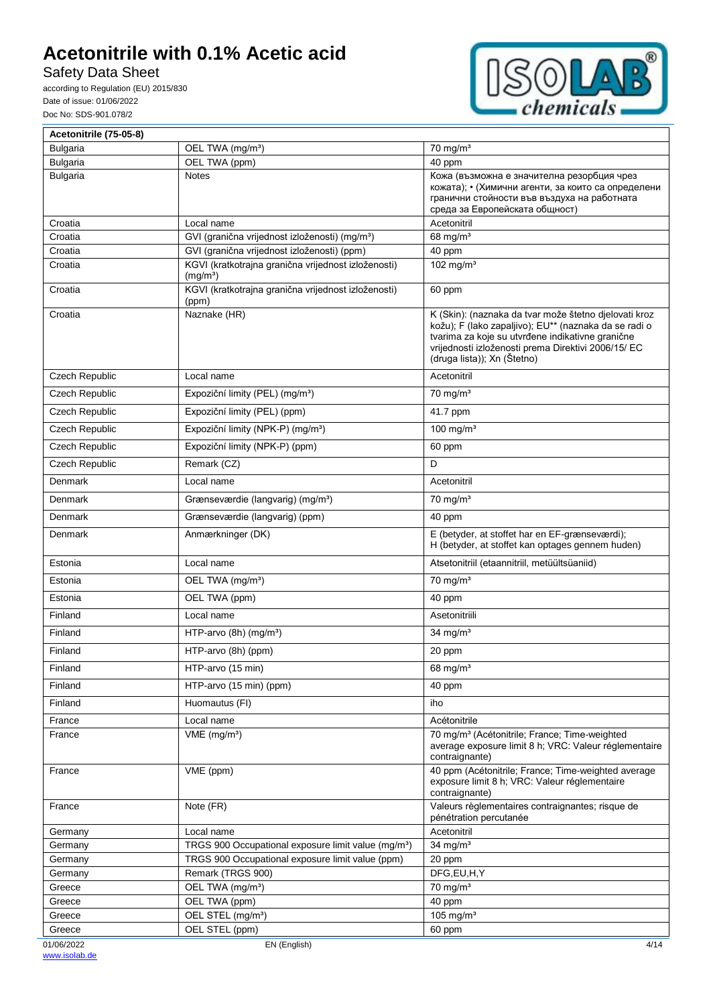Safety Data Sheet



| Acetonitrile (75-05-8) |                                                                             |                                                                                                                                                                                                                                                          |
|------------------------|-----------------------------------------------------------------------------|----------------------------------------------------------------------------------------------------------------------------------------------------------------------------------------------------------------------------------------------------------|
| <b>Bulgaria</b>        | OEL TWA (mg/m <sup>3</sup> )                                                | $70$ mg/m <sup>3</sup>                                                                                                                                                                                                                                   |
| <b>Bulgaria</b>        | OEL TWA (ppm)                                                               | 40 ppm                                                                                                                                                                                                                                                   |
| <b>Bulgaria</b>        | <b>Notes</b>                                                                | Кожа (възможна е значителна резорбция чрез<br>кожата); • (Химични агенти, за които са определени<br>гранични стойности във въздуха на работната<br>среда за Европейската общност)                                                                        |
| Croatia                | Local name                                                                  | Acetonitril                                                                                                                                                                                                                                              |
| Croatia                | GVI (granična vrijednost izloženosti) (mg/m <sup>3</sup> )                  | 68 mg/m <sup>3</sup>                                                                                                                                                                                                                                     |
| Croatia                | GVI (granična vrijednost izloženosti) (ppm)                                 | 40 ppm                                                                                                                                                                                                                                                   |
| Croatia                | KGVI (kratkotrajna granična vrijednost izloženosti)<br>(mg/m <sup>3</sup> ) | 102 mg/ $m3$                                                                                                                                                                                                                                             |
| Croatia                | KGVI (kratkotrajna granična vrijednost izloženosti)<br>(ppm)                | 60 ppm                                                                                                                                                                                                                                                   |
| Croatia                | Naznake (HR)                                                                | K (Skin): (naznaka da tvar može štetno djelovati kroz<br>kožu); F (lako zapaljivo); EU** (naznaka da se radi o<br>tvarima za koje su utvrđene indikativne granične<br>vrijednosti izloženosti prema Direktivi 2006/15/ EC<br>(druga lista)); Xn (Štetno) |
| Czech Republic         | Local name                                                                  | Acetonitril                                                                                                                                                                                                                                              |
| Czech Republic         | Expoziční limity (PEL) (mg/m <sup>3</sup> )                                 | $70 \text{ mg/m}^3$                                                                                                                                                                                                                                      |
| Czech Republic         | Expoziční limity (PEL) (ppm)                                                | 41.7 ppm                                                                                                                                                                                                                                                 |
| Czech Republic         | Expoziční limity (NPK-P) (mg/m <sup>3</sup> )                               | 100 mg/m $3$                                                                                                                                                                                                                                             |
| Czech Republic         | Expoziční limity (NPK-P) (ppm)                                              | 60 ppm                                                                                                                                                                                                                                                   |
| Czech Republic         | Remark (CZ)                                                                 | D                                                                                                                                                                                                                                                        |
| Denmark                | Local name                                                                  | Acetonitril                                                                                                                                                                                                                                              |
| Denmark                | Grænseværdie (langvarig) (mg/m <sup>3</sup> )                               | $70$ mg/m <sup>3</sup>                                                                                                                                                                                                                                   |
| Denmark                | Grænseværdie (langvarig) (ppm)                                              | 40 ppm                                                                                                                                                                                                                                                   |
| Denmark                | Anmærkninger (DK)                                                           | E (betyder, at stoffet har en EF-grænseværdi);                                                                                                                                                                                                           |
|                        |                                                                             | H (betyder, at stoffet kan optages gennem huden)                                                                                                                                                                                                         |
| Estonia                | Local name                                                                  | Atsetonitriil (etaannitriil, metüültsüaniid)                                                                                                                                                                                                             |
| Estonia                | OEL TWA (mg/m <sup>3</sup> )                                                | $70$ mg/m <sup>3</sup>                                                                                                                                                                                                                                   |
| Estonia                | OEL TWA (ppm)                                                               | 40 ppm                                                                                                                                                                                                                                                   |
| Finland                | Local name                                                                  | Asetonitriili                                                                                                                                                                                                                                            |
| Finland                | HTP-arvo (8h) (mg/m <sup>3</sup> )                                          | 34 mg/m <sup>3</sup>                                                                                                                                                                                                                                     |
| Finland                | HTP-arvo (8h) (ppm)                                                         | 20 ppm                                                                                                                                                                                                                                                   |
| Finland                | HTP-arvo (15 min)                                                           | 68 mg/m <sup>3</sup>                                                                                                                                                                                                                                     |
| Finland                | HTP-arvo (15 min) (ppm)                                                     | 40 ppm                                                                                                                                                                                                                                                   |
| Finland                | Huomautus (FI)                                                              | iho                                                                                                                                                                                                                                                      |
| France                 | Local name                                                                  | Acétonitrile                                                                                                                                                                                                                                             |
| France                 | $VME$ (mg/m <sup>3</sup> )                                                  | 70 mg/m <sup>3</sup> (Acétonitrile; France; Time-weighted<br>average exposure limit 8 h; VRC: Valeur réglementaire<br>contraignante)                                                                                                                     |
| France                 | VME (ppm)                                                                   | 40 ppm (Acétonitrile; France; Time-weighted average<br>exposure limit 8 h; VRC: Valeur réglementaire<br>contraignante)                                                                                                                                   |
| France                 | Note (FR)                                                                   | Valeurs règlementaires contraignantes; risque de<br>pénétration percutanée                                                                                                                                                                               |
| Germany                | Local name                                                                  | Acetonitril                                                                                                                                                                                                                                              |
| Germany                | TRGS 900 Occupational exposure limit value (mg/m <sup>3</sup> )             | 34 mg/ $m3$                                                                                                                                                                                                                                              |
| Germany                | TRGS 900 Occupational exposure limit value (ppm)                            | 20 ppm                                                                                                                                                                                                                                                   |
| Germany                | Remark (TRGS 900)                                                           | DFG,EU,H,Y                                                                                                                                                                                                                                               |
| Greece                 | OEL TWA (mg/m <sup>3</sup> )                                                | $70$ mg/m <sup>3</sup>                                                                                                                                                                                                                                   |
| Greece                 | OEL TWA (ppm)                                                               | 40 ppm                                                                                                                                                                                                                                                   |
| Greece<br>Greece       | OEL STEL (mg/m <sup>3</sup> )<br>OEL STEL (ppm)                             | 105 mg/m $3$<br>60 ppm                                                                                                                                                                                                                                   |
| 01/06/2022             | EN (English)                                                                | 4/14                                                                                                                                                                                                                                                     |
|                        |                                                                             |                                                                                                                                                                                                                                                          |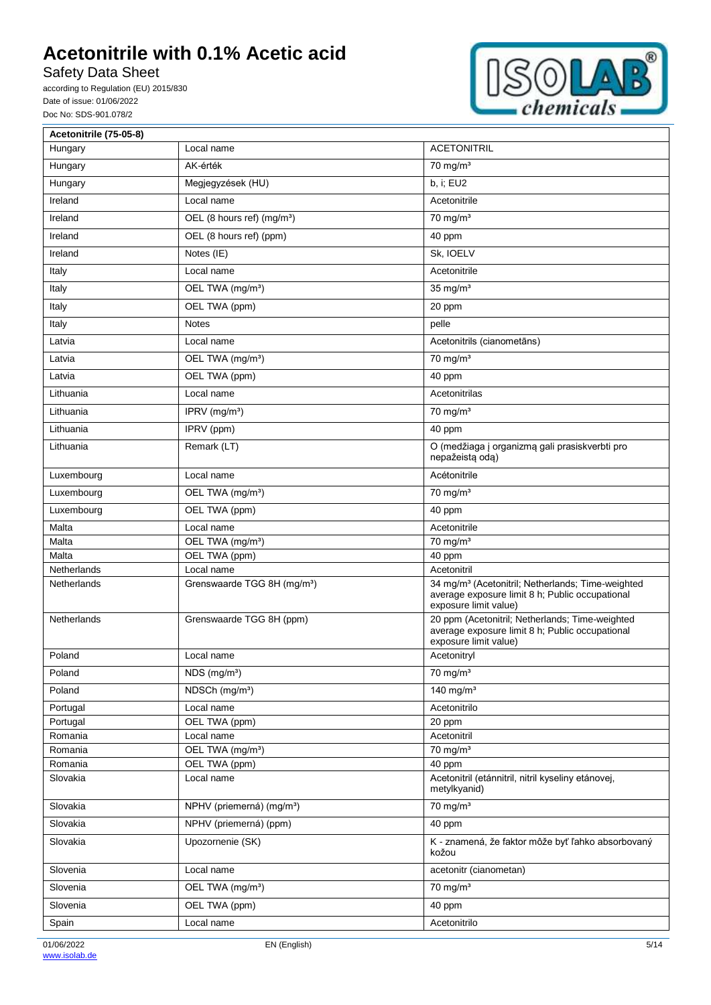Safety Data Sheet



| Acetonitrile (75-05-8) |                                         |                                                                                                                                           |
|------------------------|-----------------------------------------|-------------------------------------------------------------------------------------------------------------------------------------------|
| Hungary                | Local name                              | <b>ACETONITRIL</b>                                                                                                                        |
| Hungary                | AK-érték                                | $70$ mg/m <sup>3</sup>                                                                                                                    |
| Hungary                | Megjegyzések (HU)                       | b, i; EU2                                                                                                                                 |
| Ireland                | Local name                              | Acetonitrile                                                                                                                              |
| Ireland                | OEL (8 hours ref) (mg/m <sup>3</sup> )  | $70 \text{ mg/m}^3$                                                                                                                       |
| Ireland                | OEL (8 hours ref) (ppm)                 | 40 ppm                                                                                                                                    |
| Ireland                | Notes (IE)                              | Sk, IOELV                                                                                                                                 |
| Italy                  | Local name                              | Acetonitrile                                                                                                                              |
| Italy                  | OEL TWA (mg/m <sup>3</sup> )            | $35$ mg/m <sup>3</sup>                                                                                                                    |
| Italy                  | OEL TWA (ppm)                           | 20 ppm                                                                                                                                    |
| Italy                  | <b>Notes</b>                            | pelle                                                                                                                                     |
| Latvia                 | Local name                              | Acetonitrils (cianometāns)                                                                                                                |
| Latvia                 | OEL TWA (mg/m <sup>3</sup> )            | $\frac{1}{70}$ mg/m <sup>3</sup>                                                                                                          |
| Latvia                 | OEL TWA (ppm)                           | 40 ppm                                                                                                                                    |
| Lithuania              | Local name                              | Acetonitrilas                                                                                                                             |
| Lithuania              | IPRV (mg/m <sup>3</sup> )               | $70 \text{ mg/m}^3$                                                                                                                       |
| Lithuania              | IPRV (ppm)                              | 40 ppm                                                                                                                                    |
| Lithuania              | Remark (LT)                             | O (medžiaga į organizmą gali prasiskverbti pro<br>nepažeistą odą)                                                                         |
| Luxembourg             | Local name                              | Acétonitrile                                                                                                                              |
| Luxembourg             | OEL TWA (mg/m <sup>3</sup> )            | $70$ mg/m <sup>3</sup>                                                                                                                    |
| Luxembourg             | OEL TWA (ppm)                           | 40 ppm                                                                                                                                    |
| Malta                  | Local name                              | Acetonitrile                                                                                                                              |
| Malta                  | OEL TWA (mg/m <sup>3</sup> )            | $70$ mg/m <sup>3</sup>                                                                                                                    |
| Malta                  | OEL TWA (ppm)                           | 40 ppm                                                                                                                                    |
| <b>Netherlands</b>     | Local name                              | Acetonitril                                                                                                                               |
| <b>Netherlands</b>     | Grenswaarde TGG 8H (mg/m <sup>3</sup> ) | 34 mg/m <sup>3</sup> (Acetonitril; Netherlands; Time-weighted<br>average exposure limit 8 h; Public occupational<br>exposure limit value) |
| Netherlands            | Grenswaarde TGG 8H (ppm)                | 20 ppm (Acetonitril; Netherlands; Time-weighted<br>average exposure limit 8 h; Public occupational<br>exposure limit value)               |
| Poland                 | Local name                              | Acetonitryl                                                                                                                               |
| Poland                 | NDS (mg/m <sup>3</sup> )                | $70 \text{ mg/m}^3$                                                                                                                       |
| Poland                 | NDSCh (mg/m <sup>3</sup> )              | 140 mg/m $3$                                                                                                                              |
| Portugal               | Local name                              | Acetonitrilo                                                                                                                              |
| Portugal               | OEL TWA (ppm)                           | 20 ppm                                                                                                                                    |
| Romania                | Local name                              | Acetonitril                                                                                                                               |
| Romania                | OEL TWA (mg/m <sup>3</sup> )            | $70$ mg/m <sup>3</sup>                                                                                                                    |
| Romania                | OEL TWA (ppm)                           | 40 ppm                                                                                                                                    |
| Slovakia               | Local name                              | Acetonitril (etánnitril, nitril kyseliny etánovej,<br>metylkyanid)                                                                        |
| Slovakia               | NPHV (priemerná) (mg/m <sup>3</sup> )   | $70$ mg/m <sup>3</sup>                                                                                                                    |
| Slovakia               | NPHV (priemerná) (ppm)                  | 40 ppm                                                                                                                                    |
| Slovakia               | Upozornenie (SK)                        | K - znamená, že faktor môže byť ľahko absorbovaný<br>kožou                                                                                |
| Slovenia               | Local name                              | acetonitr (cianometan)                                                                                                                    |
| Slovenia               | OEL TWA (mg/m <sup>3</sup> )            | $70 \text{ mg/m}^3$                                                                                                                       |
| Slovenia               | OEL TWA (ppm)                           | 40 ppm                                                                                                                                    |
| Spain                  | Local name                              | Acetonitrilo                                                                                                                              |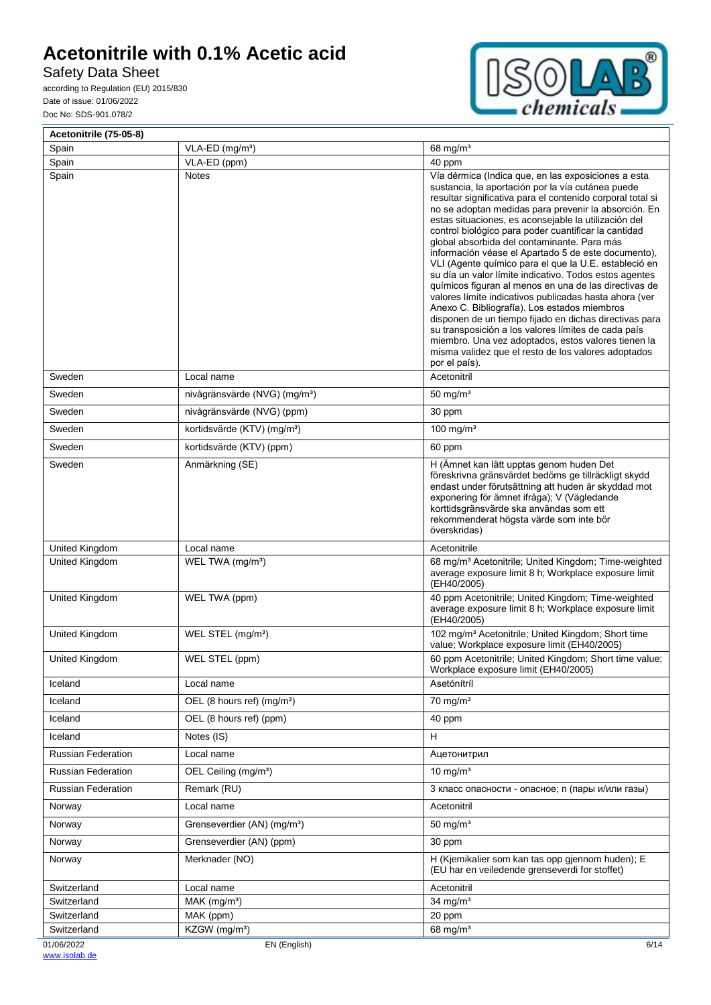Safety Data Sheet



| Acetonitrile (75-05-8)     |                                           |                                                                                                                                                                                                                                                                                                                                                                                                                                                                                                                                                                                                                                                                                                                                                                                                                                                                                                                                                                                                      |
|----------------------------|-------------------------------------------|------------------------------------------------------------------------------------------------------------------------------------------------------------------------------------------------------------------------------------------------------------------------------------------------------------------------------------------------------------------------------------------------------------------------------------------------------------------------------------------------------------------------------------------------------------------------------------------------------------------------------------------------------------------------------------------------------------------------------------------------------------------------------------------------------------------------------------------------------------------------------------------------------------------------------------------------------------------------------------------------------|
| Spain                      | VLA-ED (mg/m <sup>3</sup> )               | 68 mg/ $m3$                                                                                                                                                                                                                                                                                                                                                                                                                                                                                                                                                                                                                                                                                                                                                                                                                                                                                                                                                                                          |
| Spain<br>Spain             | VLA-ED (ppm)<br><b>Notes</b>              | 40 ppm<br>Vía dérmica (Indica que, en las exposiciones a esta<br>sustancia, la aportación por la vía cutánea puede<br>resultar significativa para el contenido corporal total si<br>no se adoptan medidas para prevenir la absorción. En<br>estas situaciones, es aconsejable la utilización del<br>control biológico para poder cuantificar la cantidad<br>global absorbida del contaminante. Para más<br>información véase el Apartado 5 de este documento),<br>VLI (Agente químico para el que la U.E. estableció en<br>su día un valor límite indicativo. Todos estos agentes<br>químicos figuran al menos en una de las directivas de<br>valores límite indicativos publicadas hasta ahora (ver<br>Anexo C. Bibliografía). Los estados miembros<br>disponen de un tiempo fijado en dichas directivas para<br>su transposición a los valores límites de cada país<br>miembro. Una vez adoptados, estos valores tienen la<br>misma validez que el resto de los valores adoptados<br>por el país). |
| Sweden                     | Local name                                | Acetonitril                                                                                                                                                                                                                                                                                                                                                                                                                                                                                                                                                                                                                                                                                                                                                                                                                                                                                                                                                                                          |
| Sweden                     | nivågränsvärde (NVG) (mg/m <sup>3</sup> ) | 50 mg/ $m3$                                                                                                                                                                                                                                                                                                                                                                                                                                                                                                                                                                                                                                                                                                                                                                                                                                                                                                                                                                                          |
| Sweden                     | nivågränsvärde (NVG) (ppm)                | 30 ppm                                                                                                                                                                                                                                                                                                                                                                                                                                                                                                                                                                                                                                                                                                                                                                                                                                                                                                                                                                                               |
| Sweden                     | kortidsvärde (KTV) (mg/m <sup>3</sup> )   | 100 mg/m $3$                                                                                                                                                                                                                                                                                                                                                                                                                                                                                                                                                                                                                                                                                                                                                                                                                                                                                                                                                                                         |
| Sweden                     | kortidsvärde (KTV) (ppm)                  | 60 ppm                                                                                                                                                                                                                                                                                                                                                                                                                                                                                                                                                                                                                                                                                                                                                                                                                                                                                                                                                                                               |
| Sweden                     | Anmärkning (SE)                           | H (Ämnet kan lätt upptas genom huden Det<br>föreskrivna gränsvärdet bedöms ge tillräckligt skydd<br>endast under förutsättning att huden är skyddad mot<br>exponering för ämnet ifråga); V (Vägledande<br>korttidsgränsvärde ska användas som ett<br>rekommenderat högsta värde som inte bör<br>överskridas)                                                                                                                                                                                                                                                                                                                                                                                                                                                                                                                                                                                                                                                                                         |
| United Kingdom             | Local name                                | Acetonitrile                                                                                                                                                                                                                                                                                                                                                                                                                                                                                                                                                                                                                                                                                                                                                                                                                                                                                                                                                                                         |
| United Kingdom             | WEL TWA (mg/m <sup>3</sup> )              | 68 mg/m <sup>3</sup> Acetonitrile; United Kingdom; Time-weighted<br>average exposure limit 8 h; Workplace exposure limit<br>(EH40/2005)                                                                                                                                                                                                                                                                                                                                                                                                                                                                                                                                                                                                                                                                                                                                                                                                                                                              |
| United Kingdom             | WEL TWA (ppm)                             | 40 ppm Acetonitrile; United Kingdom; Time-weighted<br>average exposure limit 8 h; Workplace exposure limit<br>(EH40/2005)                                                                                                                                                                                                                                                                                                                                                                                                                                                                                                                                                                                                                                                                                                                                                                                                                                                                            |
| United Kingdom             | WEL STEL (mg/m <sup>3</sup> )             | 102 mg/m <sup>3</sup> Acetonitrile; United Kingdom; Short time<br>value; Workplace exposure limit (EH40/2005)                                                                                                                                                                                                                                                                                                                                                                                                                                                                                                                                                                                                                                                                                                                                                                                                                                                                                        |
| United Kingdom             | WEL STEL (ppm)                            | 60 ppm Acetonitrile; United Kingdom; Short time value;<br>Workplace exposure limit (EH40/2005)                                                                                                                                                                                                                                                                                                                                                                                                                                                                                                                                                                                                                                                                                                                                                                                                                                                                                                       |
| Iceland                    | Local name                                | Asetónítríl                                                                                                                                                                                                                                                                                                                                                                                                                                                                                                                                                                                                                                                                                                                                                                                                                                                                                                                                                                                          |
| Iceland                    | OEL (8 hours ref) (mg/m <sup>3</sup> )    | $70 \text{ mg/m}^3$                                                                                                                                                                                                                                                                                                                                                                                                                                                                                                                                                                                                                                                                                                                                                                                                                                                                                                                                                                                  |
| Iceland                    | OEL (8 hours ref) (ppm)                   | 40 ppm                                                                                                                                                                                                                                                                                                                                                                                                                                                                                                                                                                                                                                                                                                                                                                                                                                                                                                                                                                                               |
| Iceland                    | Notes (IS)                                | H                                                                                                                                                                                                                                                                                                                                                                                                                                                                                                                                                                                                                                                                                                                                                                                                                                                                                                                                                                                                    |
| <b>Russian Federation</b>  | Local name                                | Ацетонитрил                                                                                                                                                                                                                                                                                                                                                                                                                                                                                                                                                                                                                                                                                                                                                                                                                                                                                                                                                                                          |
| <b>Russian Federation</b>  | OEL Ceiling (mg/m <sup>3</sup> )          | $10 \text{ mg/m}^3$                                                                                                                                                                                                                                                                                                                                                                                                                                                                                                                                                                                                                                                                                                                                                                                                                                                                                                                                                                                  |
| <b>Russian Federation</b>  | Remark (RU)                               | 3 класс опасности - опасное; п (пары и/или газы)                                                                                                                                                                                                                                                                                                                                                                                                                                                                                                                                                                                                                                                                                                                                                                                                                                                                                                                                                     |
| Norway                     | Local name                                | Acetonitril                                                                                                                                                                                                                                                                                                                                                                                                                                                                                                                                                                                                                                                                                                                                                                                                                                                                                                                                                                                          |
| Norway                     | Grenseverdier (AN) (mg/m <sup>3</sup> )   | $50 \text{ mg/m}^3$                                                                                                                                                                                                                                                                                                                                                                                                                                                                                                                                                                                                                                                                                                                                                                                                                                                                                                                                                                                  |
| Norway                     | Grenseverdier (AN) (ppm)                  | 30 ppm                                                                                                                                                                                                                                                                                                                                                                                                                                                                                                                                                                                                                                                                                                                                                                                                                                                                                                                                                                                               |
| Norway                     | Merknader (NO)                            | H (Kjemikalier som kan tas opp gjennom huden); E<br>(EU har en veiledende grenseverdi for stoffet)                                                                                                                                                                                                                                                                                                                                                                                                                                                                                                                                                                                                                                                                                                                                                                                                                                                                                                   |
| Switzerland                | Local name                                | Acetonitril                                                                                                                                                                                                                                                                                                                                                                                                                                                                                                                                                                                                                                                                                                                                                                                                                                                                                                                                                                                          |
| Switzerland                | MAK (mg/m <sup>3</sup> )                  | 34 mg/ $m3$                                                                                                                                                                                                                                                                                                                                                                                                                                                                                                                                                                                                                                                                                                                                                                                                                                                                                                                                                                                          |
| Switzerland<br>Switzerland | MAK (ppm)<br>KZGW (mg/m <sup>3</sup> )    | 20 ppm<br>68 mg/m <sup>3</sup>                                                                                                                                                                                                                                                                                                                                                                                                                                                                                                                                                                                                                                                                                                                                                                                                                                                                                                                                                                       |
| 01/06/2022                 | EN (English)                              | 6/14                                                                                                                                                                                                                                                                                                                                                                                                                                                                                                                                                                                                                                                                                                                                                                                                                                                                                                                                                                                                 |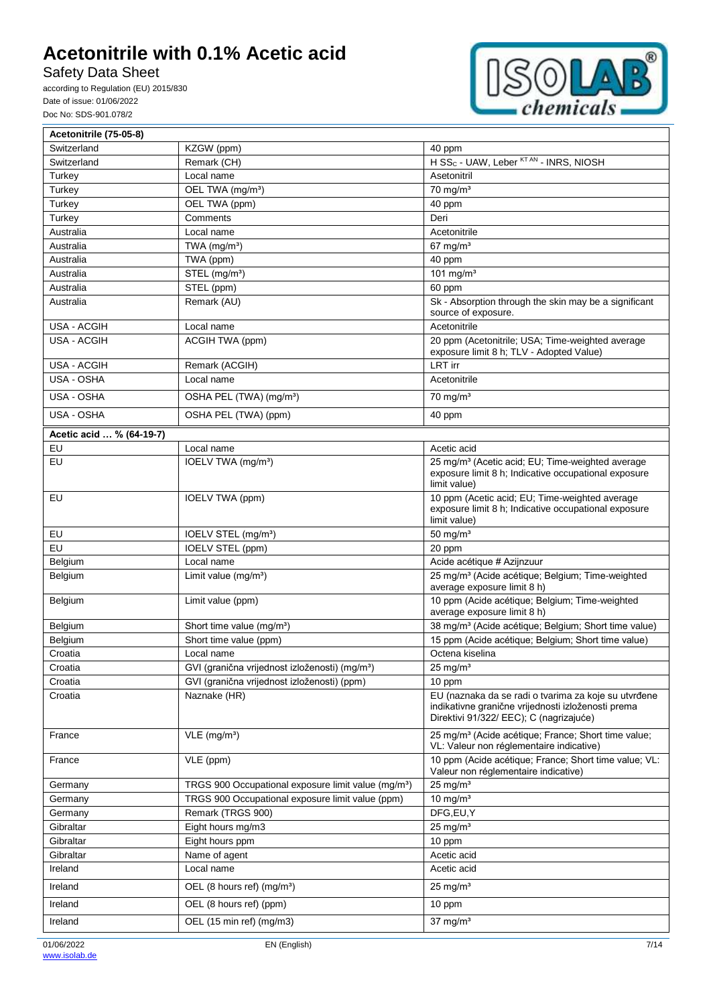Safety Data Sheet



| Acetonitrile (75-05-8)   |                                                                 |                                                                                                                                                       |
|--------------------------|-----------------------------------------------------------------|-------------------------------------------------------------------------------------------------------------------------------------------------------|
| Switzerland              | KZGW (ppm)                                                      | 40 ppm                                                                                                                                                |
| Switzerland              | Remark (CH)                                                     | H SS <sub>C</sub> - UAW, Leber <sup>KT AN</sup> - INRS, NIOSH                                                                                         |
| Turkey                   | Local name                                                      | Asetonitril                                                                                                                                           |
| Turkey                   | OEL TWA (mg/m <sup>3</sup> )                                    | $70$ mg/m <sup>3</sup>                                                                                                                                |
| Turkey                   | OEL TWA (ppm)                                                   | 40 ppm                                                                                                                                                |
| Turkey                   | Comments                                                        | Deri                                                                                                                                                  |
| Australia                | Local name                                                      | Acetonitrile                                                                                                                                          |
| Australia                | TWA $(mg/m3)$                                                   | $67$ mg/m <sup>3</sup>                                                                                                                                |
| Australia                | TWA (ppm)                                                       | 40 ppm                                                                                                                                                |
| Australia                | STEL (mg/m <sup>3</sup> )                                       | 101 mg/m $3$                                                                                                                                          |
| Australia                | STEL (ppm)                                                      | 60 ppm                                                                                                                                                |
| Australia                | Remark (AU)                                                     | Sk - Absorption through the skin may be a significant<br>source of exposure.                                                                          |
| <b>USA - ACGIH</b>       | Local name                                                      | Acetonitrile                                                                                                                                          |
| <b>USA - ACGIH</b>       | ACGIH TWA (ppm)                                                 | 20 ppm (Acetonitrile; USA; Time-weighted average<br>exposure limit 8 h; TLV - Adopted Value)                                                          |
| <b>USA - ACGIH</b>       | Remark (ACGIH)                                                  | <b>LRT</b> irr                                                                                                                                        |
| USA - OSHA               | Local name                                                      | Acetonitrile                                                                                                                                          |
| USA - OSHA               | OSHA PEL (TWA) (mg/m <sup>3</sup> )                             | $70$ mg/m <sup>3</sup>                                                                                                                                |
| USA - OSHA               | OSHA PEL (TWA) (ppm)                                            | 40 ppm                                                                                                                                                |
| Acetic acid  % (64-19-7) |                                                                 |                                                                                                                                                       |
| EU                       | Local name                                                      | Acetic acid                                                                                                                                           |
| EU                       | IOELV TWA (mg/m <sup>3</sup> )                                  | 25 mg/m <sup>3</sup> (Acetic acid; EU; Time-weighted average<br>exposure limit 8 h; Indicative occupational exposure<br>limit value)                  |
| EU                       | IOELV TWA (ppm)                                                 | 10 ppm (Acetic acid; EU; Time-weighted average<br>exposure limit 8 h; Indicative occupational exposure<br>limit value)                                |
| EU                       | IOELV STEL (mg/m <sup>3</sup> )                                 | 50 mg/ $m3$                                                                                                                                           |
| EU                       | <b>IOELV STEL (ppm)</b>                                         | 20 ppm                                                                                                                                                |
| Belgium                  | Local name                                                      | Acide acétique # Azijnzuur                                                                                                                            |
| Belgium                  | Limit value $(mg/m3)$                                           | 25 mg/m <sup>3</sup> (Acide acétique; Belgium; Time-weighted<br>average exposure limit 8 h)                                                           |
| Belgium                  | Limit value (ppm)                                               | 10 ppm (Acide acétique; Belgium; Time-weighted<br>average exposure limit 8 h)                                                                         |
| Belgium                  | Short time value (mg/m <sup>3</sup> )                           | 38 mg/m <sup>3</sup> (Acide acétique; Belgium; Short time value)                                                                                      |
| Belgium                  | Short time value (ppm)                                          | 15 ppm (Acide acétique; Belgium; Short time value)                                                                                                    |
| Croatia                  | Local name                                                      | Octena kiselina                                                                                                                                       |
| Croatia                  | GVI (granična vrijednost izloženosti) (mg/m <sup>3</sup> )      | $25 \text{ mg/m}^3$                                                                                                                                   |
| Croatia                  | GVI (granična vrijednost izloženosti) (ppm)                     | 10 ppm                                                                                                                                                |
| Croatia                  | Naznake (HR)                                                    | EU (naznaka da se radi o tvarima za koje su utvrđene<br>indikativne granične vrijednosti izloženosti prema<br>Direktivi 91/322/ EEC); C (nagrizajuće) |
| France                   | $VLE$ (mg/m <sup>3</sup> )                                      | 25 mg/m <sup>3</sup> (Acide acétique; France; Short time value;<br>VL: Valeur non réglementaire indicative)                                           |
| France                   | VLE (ppm)                                                       | 10 ppm (Acide acétique; France; Short time value; VL:<br>Valeur non réglementaire indicative)                                                         |
| Germany                  | TRGS 900 Occupational exposure limit value (mg/m <sup>3</sup> ) | $25$ mg/m <sup>3</sup>                                                                                                                                |
| Germany                  | TRGS 900 Occupational exposure limit value (ppm)                | 10 mg/ $m3$                                                                                                                                           |
| Germany                  | Remark (TRGS 900)                                               | DFG,EU,Y                                                                                                                                              |
| Gibraltar                | Eight hours mg/m3                                               | $25 \text{ mg/m}^3$                                                                                                                                   |
| Gibraltar                | Eight hours ppm                                                 | 10 ppm                                                                                                                                                |
| Gibraltar                | Name of agent                                                   | Acetic acid                                                                                                                                           |
| Ireland                  | Local name                                                      | Acetic acid                                                                                                                                           |
| Ireland                  | OEL (8 hours ref) (mg/m <sup>3</sup> )                          | $25 \text{ mg/m}^3$                                                                                                                                   |
| Ireland                  | OEL (8 hours ref) (ppm)                                         | 10 ppm                                                                                                                                                |
| Ireland                  | OEL (15 min ref) (mg/m3)                                        | $37 \text{ mg/m}^3$                                                                                                                                   |
|                          |                                                                 |                                                                                                                                                       |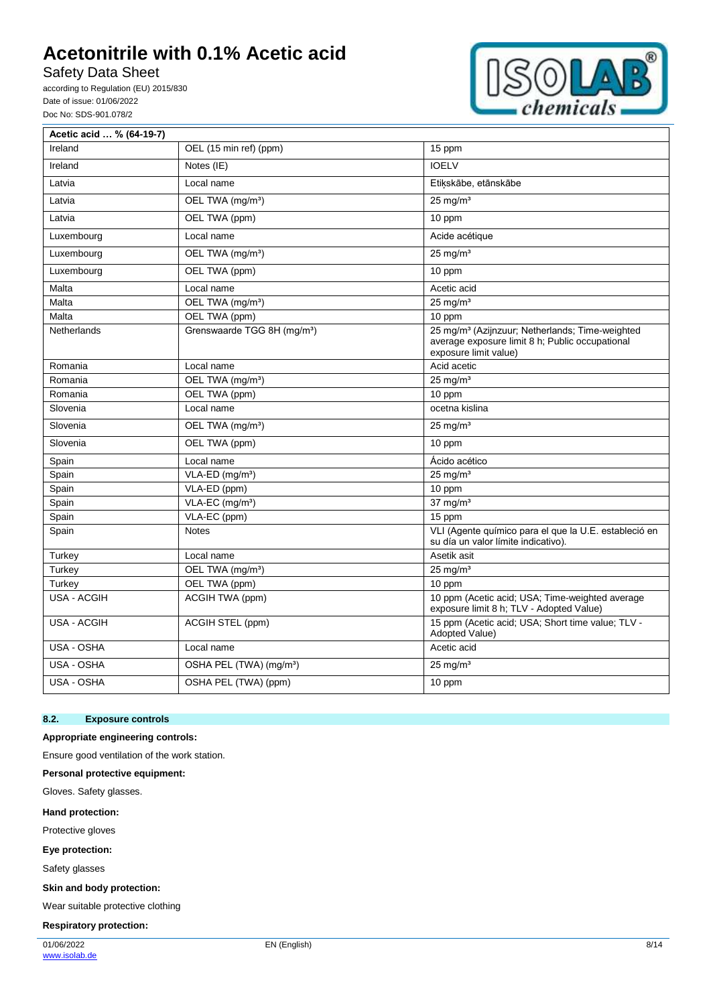Safety Data Sheet

according to Regulation (EU) 2015/830 Date of issue: 01/06/2022 Doc No: SDS-901.078/2



| Acetic acid  % (64-19-7) |                                         |                                                                                                                                         |
|--------------------------|-----------------------------------------|-----------------------------------------------------------------------------------------------------------------------------------------|
| Ireland                  | OEL (15 min ref) (ppm)                  | 15 ppm                                                                                                                                  |
| Ireland                  | Notes (IE)                              | <b>IOELV</b>                                                                                                                            |
| Latvia                   | Local name                              | Etiķskābe, etānskābe                                                                                                                    |
| Latvia                   | OEL TWA (mg/m <sup>3</sup> )            | $25 \text{ mg/m}^3$                                                                                                                     |
| Latvia                   | OEL TWA (ppm)                           | 10 ppm                                                                                                                                  |
| Luxembourg               | Local name                              | Acide acétique                                                                                                                          |
| Luxembourg               | OEL TWA (mg/m <sup>3</sup> )            | $25 \text{ mg/m}^3$                                                                                                                     |
| Luxembourg               | OEL TWA (ppm)                           | 10 ppm                                                                                                                                  |
| Malta                    | Local name                              | Acetic acid                                                                                                                             |
| Malta                    | OEL TWA (mg/m <sup>3</sup> )            | $25$ mg/m <sup>3</sup>                                                                                                                  |
| Malta                    | OEL TWA (ppm)                           | 10 ppm                                                                                                                                  |
| Netherlands              | Grenswaarde TGG 8H (mg/m <sup>3</sup> ) | 25 mg/m <sup>3</sup> (Azijnzuur; Netherlands; Time-weighted<br>average exposure limit 8 h; Public occupational<br>exposure limit value) |
| Romania                  | Local name                              | Acid acetic                                                                                                                             |
| Romania                  | OEL TWA (mg/m <sup>3</sup> )            | $25 \text{ mg/m}^3$                                                                                                                     |
| Romania                  | OEL TWA (ppm)                           | 10 ppm                                                                                                                                  |
| Slovenia                 | Local name                              | ocetna kislina                                                                                                                          |
| Slovenia                 | OEL TWA (mg/m <sup>3</sup> )            | $25$ mg/m <sup>3</sup>                                                                                                                  |
| Slovenia                 | OEL TWA (ppm)                           | 10 ppm                                                                                                                                  |
| Spain                    | Local name                              | Ácido acético                                                                                                                           |
| Spain                    | VLA-ED (mg/m <sup>3</sup> )             | $25 \text{ mg/m}^3$                                                                                                                     |
| Spain                    | VLA-ED (ppm)                            | 10 ppm                                                                                                                                  |
| Spain                    | VLA-EC (mg/m <sup>3</sup> )             | $37 \text{ mg/m}^3$                                                                                                                     |
| Spain                    | VLA-EC (ppm)                            | 15 ppm                                                                                                                                  |
| Spain                    | <b>Notes</b>                            | VLI (Agente químico para el que la U.E. estableció en<br>su día un valor límite indicativo).                                            |
| Turkey                   | Local name                              | Asetik asit                                                                                                                             |
| Turkey                   | OEL TWA (mg/m <sup>3</sup> )            | $25 \text{ mg/m}^3$                                                                                                                     |
| Turkey                   | OEL TWA (ppm)                           | 10 ppm                                                                                                                                  |
| <b>USA - ACGIH</b>       | ACGIH TWA (ppm)                         | 10 ppm (Acetic acid; USA; Time-weighted average<br>exposure limit 8 h; TLV - Adopted Value)                                             |
| USA - ACGIH              | ACGIH STEL (ppm)                        | 15 ppm (Acetic acid: USA; Short time value; TLV -<br>Adopted Value)                                                                     |
| USA - OSHA               | Local name                              | Acetic acid                                                                                                                             |
| USA - OSHA               | OSHA PEL (TWA) (mg/m <sup>3</sup> )     | $25 \text{ mg/m}^3$                                                                                                                     |
| USA - OSHA               | OSHA PEL (TWA) (ppm)                    | 10 ppm                                                                                                                                  |

### **8.2. Exposure controls**

### **Appropriate engineering controls:**

Ensure good ventilation of the work station.

**Personal protective equipment:**

Gloves. Safety glasses.

#### **Hand protection:**

Protective gloves

**Eye protection:**

Safety glasses

**Skin and body protection:**

Wear suitable protective clothing

#### **Respiratory protection:**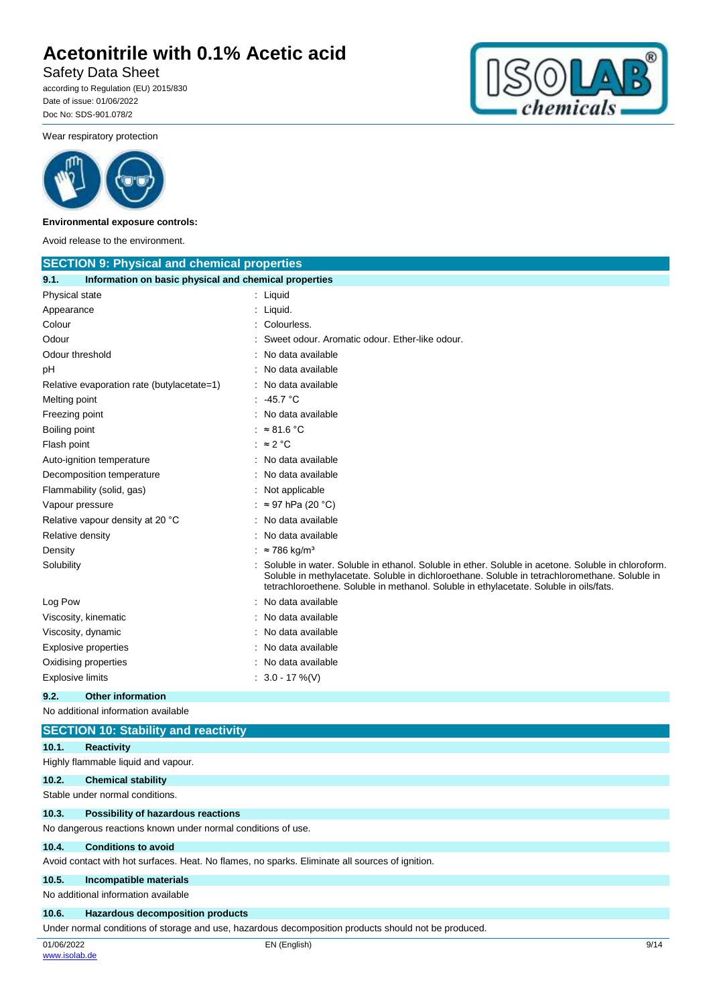Safety Data Sheet

according to Regulation (EU) 2015/830 Date of issue: 01/06/2022 Doc No: SDS-901.078/2



Wear respiratory protection



#### **Environmental exposure controls:**

Avoid release to the environment.

| <b>SECTION 9: Physical and chemical properties</b>            |                                                                                                                                                                                                                                                                                                |
|---------------------------------------------------------------|------------------------------------------------------------------------------------------------------------------------------------------------------------------------------------------------------------------------------------------------------------------------------------------------|
| Information on basic physical and chemical properties<br>9.1. |                                                                                                                                                                                                                                                                                                |
| Physical state                                                | : Liquid                                                                                                                                                                                                                                                                                       |
| Appearance                                                    | Liquid.                                                                                                                                                                                                                                                                                        |
| Colour                                                        | Colourless.                                                                                                                                                                                                                                                                                    |
| Odour                                                         | Sweet odour. Aromatic odour. Ether-like odour.                                                                                                                                                                                                                                                 |
| Odour threshold                                               | No data available                                                                                                                                                                                                                                                                              |
| рH                                                            | No data available                                                                                                                                                                                                                                                                              |
| Relative evaporation rate (butylacetate=1)                    | No data available                                                                                                                                                                                                                                                                              |
| Melting point                                                 | .45.7 °C                                                                                                                                                                                                                                                                                       |
| Freezing point                                                | No data available                                                                                                                                                                                                                                                                              |
| Boiling point                                                 | : $\approx 81.6 \degree C$                                                                                                                                                                                                                                                                     |
| Flash point                                                   | : $\approx$ 2 °C                                                                                                                                                                                                                                                                               |
| Auto-ignition temperature                                     | No data available                                                                                                                                                                                                                                                                              |
| Decomposition temperature                                     | No data available                                                                                                                                                                                                                                                                              |
| Flammability (solid, gas)                                     | Not applicable                                                                                                                                                                                                                                                                                 |
| Vapour pressure                                               | $\approx$ 97 hPa (20 °C)                                                                                                                                                                                                                                                                       |
| Relative vapour density at 20 °C                              | No data available                                                                                                                                                                                                                                                                              |
| Relative density                                              | No data available                                                                                                                                                                                                                                                                              |
| Density                                                       | $: z786 \text{ kg/m}^3$                                                                                                                                                                                                                                                                        |
| Solubility                                                    | Soluble in water. Soluble in ethanol. Soluble in ether. Soluble in acetone. Soluble in chloroform.<br>Soluble in methylacetate. Soluble in dichloroethane. Soluble in tetrachloromethane. Soluble in<br>tetrachloroethene. Soluble in methanol. Soluble in ethylacetate. Soluble in oils/fats. |
| Log Pow                                                       | No data available                                                                                                                                                                                                                                                                              |
| Viscosity, kinematic                                          | No data available                                                                                                                                                                                                                                                                              |
| Viscosity, dynamic                                            | No data available                                                                                                                                                                                                                                                                              |
| Explosive properties                                          | No data available                                                                                                                                                                                                                                                                              |
| Oxidising properties                                          | No data available                                                                                                                                                                                                                                                                              |
| <b>Explosive limits</b>                                       | $: 3.0 - 17 \%$ (V)                                                                                                                                                                                                                                                                            |

### **9.2. Other information**

No additional information available

|       | <b>SECTION 10: Stability and reactivity</b>                                                     |
|-------|-------------------------------------------------------------------------------------------------|
| 10.1. | <b>Reactivity</b>                                                                               |
|       | Highly flammable liquid and vapour.                                                             |
| 10.2. | <b>Chemical stability</b>                                                                       |
|       | Stable under normal conditions.                                                                 |
| 10.3. | Possibility of hazardous reactions                                                              |
|       | No dangerous reactions known under normal conditions of use.                                    |
| 10.4. | <b>Conditions to avoid</b>                                                                      |
|       | Avoid contact with hot surfaces. Heat. No flames, no sparks. Eliminate all sources of ignition. |
| 10.5. | Incompatible materials                                                                          |
|       | No additional information available                                                             |
| 10.6. | <b>Hazardous decomposition products</b>                                                         |
|       |                                                                                                 |

Under normal conditions of storage and use, hazardous decomposition products should not be produced.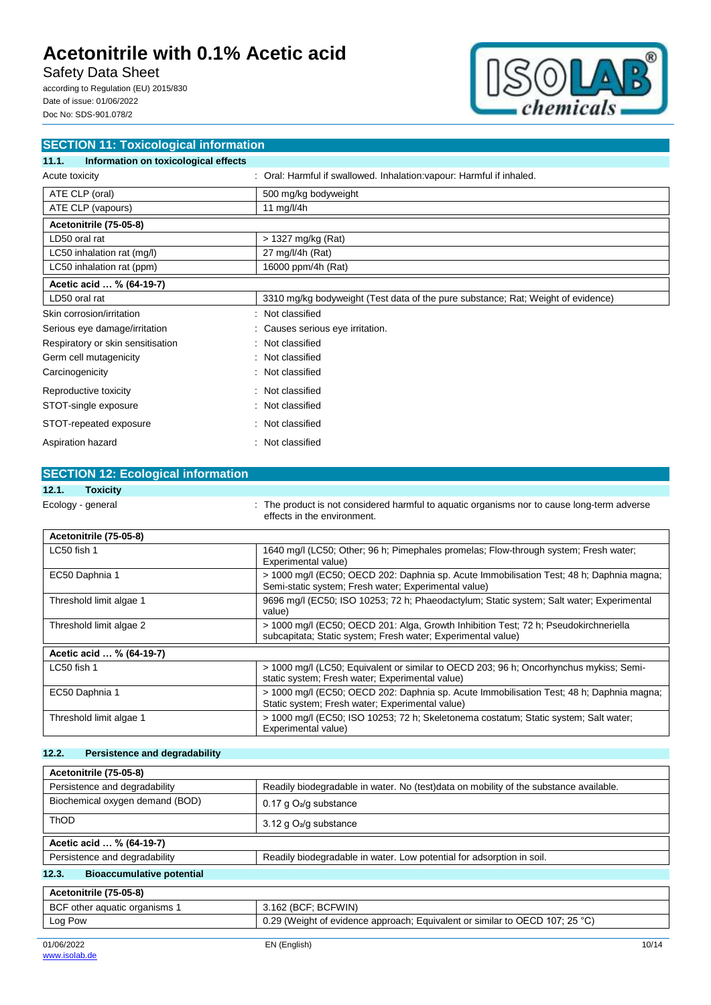Safety Data Sheet

according to Regulation (EU) 2015/830 Date of issue: 01/06/2022 Doc No: SDS-901.078/2



| <b>SECTION 11: Toxicological information</b>  |                                                                                  |
|-----------------------------------------------|----------------------------------------------------------------------------------|
| Information on toxicological effects<br>11.1. |                                                                                  |
| Acute toxicity                                | : Oral: Harmful if swallowed. Inhalation: vapour: Harmful if inhaled.            |
| ATE CLP (oral)                                | 500 mg/kg bodyweight                                                             |
| ATE CLP (vapours)                             | 11 mg/l/4h                                                                       |
| Acetonitrile (75-05-8)                        |                                                                                  |
| LD50 oral rat                                 | > 1327 mg/kg (Rat)                                                               |
| LC50 inhalation rat (mg/l)                    | 27 mg/l/4h (Rat)                                                                 |
| LC50 inhalation rat (ppm)                     | 16000 ppm/4h (Rat)                                                               |
| Acetic acid  % (64-19-7)                      |                                                                                  |
| LD50 oral rat                                 | 3310 mg/kg bodyweight (Test data of the pure substance; Rat; Weight of evidence) |
| Skin corrosion/irritation                     | : Not classified                                                                 |
| Serious eye damage/irritation                 | : Causes serious eye irritation.                                                 |
| Respiratory or skin sensitisation             | : Not classified                                                                 |
| Germ cell mutagenicity                        | : Not classified                                                                 |
| Carcinogenicity                               | : Not classified                                                                 |
| Reproductive toxicity                         | : Not classified                                                                 |
| STOT-single exposure                          | : Not classified                                                                 |
| STOT-repeated exposure                        | : Not classified                                                                 |
| Aspiration hazard                             | : Not classified                                                                 |

| <b>SECTION 12: Ecological information</b> |                                                                                                                                                  |
|-------------------------------------------|--------------------------------------------------------------------------------------------------------------------------------------------------|
| 12.1.<br><b>Toxicity</b>                  |                                                                                                                                                  |
| Ecology - general                         | : The product is not considered harmful to aquatic organisms nor to cause long-term adverse<br>effects in the environment.                       |
| Acetonitrile (75-05-8)                    |                                                                                                                                                  |
| LC50 fish 1                               | 1640 mg/l (LC50; Other; 96 h; Pimephales promelas; Flow-through system; Fresh water;<br>Experimental value)                                      |
| EC50 Daphnia 1                            | > 1000 mg/l (EC50; OECD 202: Daphnia sp. Acute Immobilisation Test; 48 h; Daphnia magna;<br>Semi-static system; Fresh water; Experimental value) |

| Threshold limit algae 1  | 9696 mg/l (EC50; ISO 10253; 72 h; Phaeodactylum; Static system; Salt water; Experimental<br>value)                                                   |
|--------------------------|------------------------------------------------------------------------------------------------------------------------------------------------------|
| Threshold limit algae 2  | > 1000 mg/l (EC50; OECD 201: Alga, Growth Inhibition Test; 72 h; Pseudokirchneriella<br>subcapitata; Static system; Fresh water; Experimental value) |
| Acetic acid  % (64-19-7) |                                                                                                                                                      |
| LC50 fish 1              | > 1000 mg/l (LC50; Equivalent or similar to OECD 203; 96 h; Oncorhynchus mykiss; Semi-<br>static system; Fresh water; Experimental value)            |
| EC50 Daphnia 1           | > 1000 mg/l (EC50; OECD 202: Daphnia sp. Acute Immobilisation Test; 48 h; Daphnia magna;<br>Static system; Fresh water; Experimental value)          |
| Threshold limit algae 1  | > 1000 mg/l (EC50; ISO 10253; 72 h; Skeletonema costatum; Static system; Salt water;<br>Experimental value)                                          |

## **12.2. Persistence and degradability**

| Acetonitrile (75-05-8)                    |                                                                                       |
|-------------------------------------------|---------------------------------------------------------------------------------------|
| Persistence and degradability             | Readily biodegradable in water. No (test)data on mobility of the substance available. |
| Biochemical oxygen demand (BOD)           | 0.17 g $O_2$ /g substance                                                             |
| ThOD                                      | 3.12 g $O_2$ /g substance                                                             |
| Acetic acid  % (64-19-7)                  |                                                                                       |
| Persistence and degradability             | Readily biodegradable in water. Low potential for adsorption in soil.                 |
| <b>Bioaccumulative potential</b><br>12.3. |                                                                                       |
| Acetonitrile (75-05-8)                    |                                                                                       |
| BCF other aquatic organisms 1             | 3.162 (BCF; BCFWIN)                                                                   |
| Log Pow                                   | 0.29 (Weight of evidence approach; Equivalent or similar to OECD 107; 25 °C)          |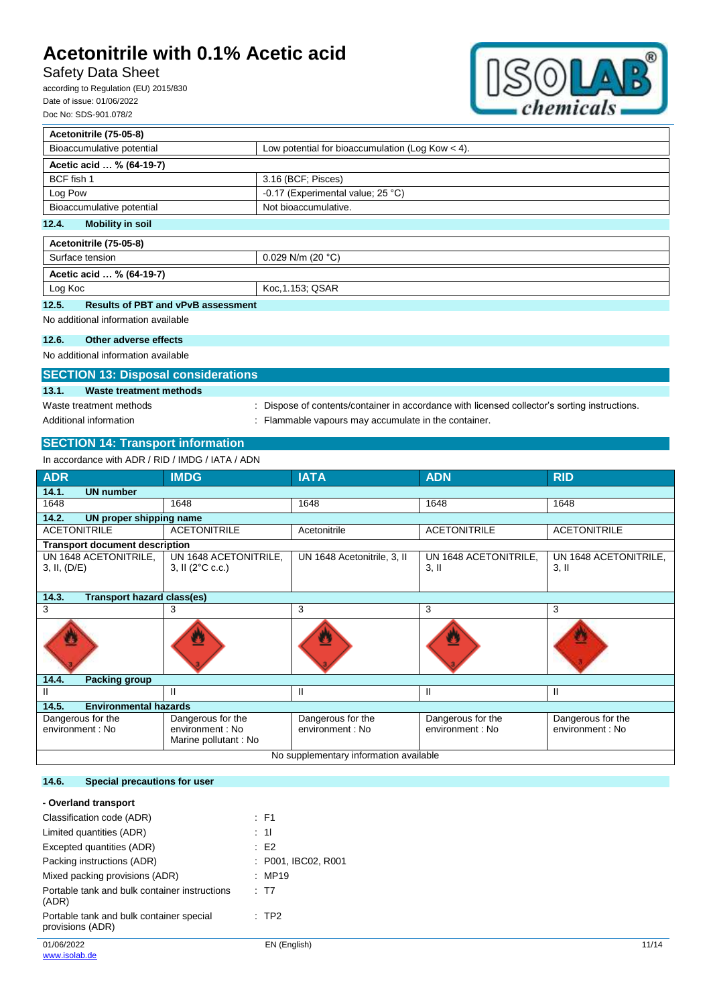Log Koc Koc, 1.153; QSAR

## Safety Data Sheet

according to Regulation (EU) 2015/830 Date of issue: 01/06/2022 Doc No: SDS-901.078/2



| Acetonitrile (75-05-8)           |                                                    |  |
|----------------------------------|----------------------------------------------------|--|
| Bioaccumulative potential        | Low potential for bioaccumulation (Log Kow $<$ 4). |  |
| Acetic acid  % (64-19-7)         |                                                    |  |
| BCF fish 1                       | 3.16 (BCF; Pisces)                                 |  |
| Log Pow                          | -0.17 (Experimental value; 25 °C)                  |  |
| Bioaccumulative potential        | Not bioaccumulative.                               |  |
| 12.4.<br><b>Mobility in soil</b> |                                                    |  |
| Acetonitrile (75-05-8)           |                                                    |  |
| Surface tension                  | 0.029 N/m (20 $°C$ )                               |  |
| Acetic acid  % (64-19-7)         |                                                    |  |

## **12.5. Results of PBT and vPvB assessment**

No additional information available

### **12.6. Other adverse effects**

No additional information available

## **SECTION 13: Disposal considerations**

### **13.1. Waste treatment methods**

Waste treatment methods : Dispose of contents/container in accordance with licensed collector's sorting instructions. Additional information **incomponent in the container.** : Flammable vapours may accumulate in the container.

## **SECTION 14: Transport information**

| In accordance with ADR / RID / IMDG / IATA / ADN |                                                    |                             |                                  |                                  |
|--------------------------------------------------|----------------------------------------------------|-----------------------------|----------------------------------|----------------------------------|
| <b>ADR</b>                                       | <b>IMDG</b>                                        | <b>IATA</b>                 | <b>ADN</b>                       | <b>RID</b>                       |
| 14.1.<br><b>UN number</b>                        |                                                    |                             |                                  |                                  |
| 1648                                             | 1648                                               | 1648                        | 1648                             | 1648                             |
| 14.2.<br>UN proper shipping name                 |                                                    |                             |                                  |                                  |
| <b>ACETONITRILE</b>                              | <b>ACETONITRILE</b>                                | Acetonitrile                | <b>ACETONITRILE</b>              | <b>ACETONITRILE</b>              |
| <b>Transport document description</b>            |                                                    |                             |                                  |                                  |
| UN 1648 ACETONITRILE,<br>3, II, (D/E)            | UN 1648 ACETONITRILE,<br>3, II $(2^{\circ}C \csc)$ | UN 1648 Acetonitrile, 3, II | UN 1648 ACETONITRILE,<br>$3,$ II | UN 1648 ACETONITRILE,<br>$3,$ II |
| <b>Transport hazard class(es)</b><br>14.3.       |                                                    |                             |                                  |                                  |
| 3                                                | 3                                                  | 3                           | 3                                | 3                                |
|                                                  |                                                    |                             |                                  |                                  |
| 14.4.<br><b>Packing group</b>                    |                                                    |                             |                                  |                                  |
| Ш                                                | Ш                                                  | Ш                           | Ш                                | Ш                                |
| <b>Environmental hazards</b><br>14.5.            |                                                    |                             |                                  |                                  |
| Dangerous for the                                | Dangerous for the                                  | Dangerous for the           | Dangerous for the                | Dangerous for the                |
| environment : No                                 | environment : No<br>Marine pollutant: No           | environment : No            | environment : No                 | environment : No                 |
| No supplementary information available           |                                                    |                             |                                  |                                  |

### **14.6. Special precautions for user**

#### **- Overland transport**

| Classification code (ADR)                                    | $\therefore$ F1     |       |
|--------------------------------------------------------------|---------------------|-------|
| Limited quantities (ADR)                                     | : 11                |       |
| Excepted quantities (ADR)                                    | $\pm$ E2            |       |
| Packing instructions (ADR)                                   | : P001, IBC02, R001 |       |
| Mixed packing provisions (ADR)                               | : MP19              |       |
| Portable tank and bulk container instructions<br>(ADR)       | : T7                |       |
| Portable tank and bulk container special<br>provisions (ADR) | $\therefore$ TP2    |       |
| 01/06/2022                                                   | EN (English)        | 11/14 |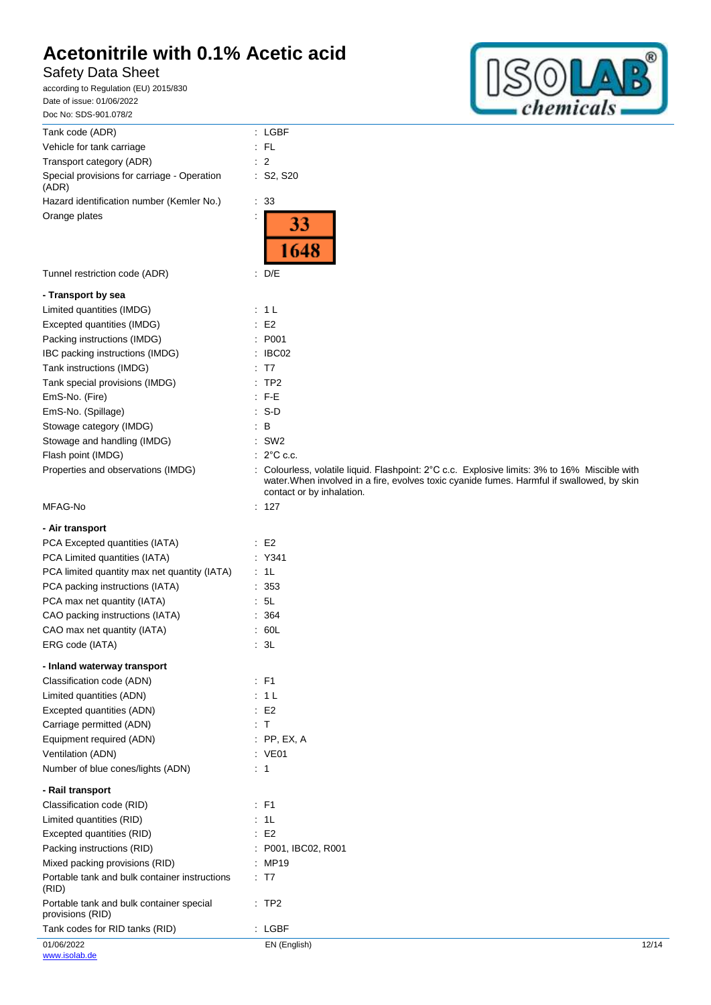## Safety Data Sheet



| Tank code (ADR)                                              | : LGBF                                                                                                                                                                                                                   |       |
|--------------------------------------------------------------|--------------------------------------------------------------------------------------------------------------------------------------------------------------------------------------------------------------------------|-------|
| Vehicle for tank carriage                                    | $:$ FL                                                                                                                                                                                                                   |       |
| Transport category (ADR)                                     | $\therefore$ 2                                                                                                                                                                                                           |       |
| Special provisions for carriage - Operation<br>(ADR)         | : S2, S20                                                                                                                                                                                                                |       |
| Hazard identification number (Kemler No.)                    | $\therefore$ 33                                                                                                                                                                                                          |       |
| Orange plates                                                | 33<br>1648                                                                                                                                                                                                               |       |
| Tunnel restriction code (ADR)                                | : D/E                                                                                                                                                                                                                    |       |
| - Transport by sea                                           |                                                                                                                                                                                                                          |       |
| Limited quantities (IMDG)                                    | : 1 L                                                                                                                                                                                                                    |       |
| Excepted quantities (IMDG)                                   | $\therefore$ E2                                                                                                                                                                                                          |       |
| Packing instructions (IMDG)                                  | : P001                                                                                                                                                                                                                   |       |
| IBC packing instructions (IMDG)                              | $\therefore$ IBC02                                                                                                                                                                                                       |       |
| Tank instructions (IMDG)                                     | : T7                                                                                                                                                                                                                     |       |
| Tank special provisions (IMDG)                               | $:$ TP2                                                                                                                                                                                                                  |       |
| EmS-No. (Fire)                                               | $\therefore$ F-E                                                                                                                                                                                                         |       |
| EmS-No. (Spillage)                                           | : S-D                                                                                                                                                                                                                    |       |
| Stowage category (IMDG)                                      | B<br>÷                                                                                                                                                                                                                   |       |
| Stowage and handling (IMDG)                                  | SW <sub>2</sub>                                                                                                                                                                                                          |       |
| Flash point (IMDG)                                           | $: 2^{\circ}$ C c.c.                                                                                                                                                                                                     |       |
| Properties and observations (IMDG)                           | : Colourless, volatile liquid. Flashpoint: 2°C c.c. Explosive limits: 3% to 16% Miscible with<br>water. When involved in a fire, evolves toxic cyanide fumes. Harmful if swallowed, by skin<br>contact or by inhalation. |       |
| MFAG-No                                                      | : 127                                                                                                                                                                                                                    |       |
| - Air transport                                              |                                                                                                                                                                                                                          |       |
| PCA Excepted quantities (IATA)                               | $\cdot$ E2                                                                                                                                                                                                               |       |
| PCA Limited quantities (IATA)                                | : Y341                                                                                                                                                                                                                   |       |
| PCA limited quantity max net quantity (IATA)                 | $\cdot$ 1L                                                                                                                                                                                                               |       |
| PCA packing instructions (IATA)                              | : 353                                                                                                                                                                                                                    |       |
| PCA max net quantity (IATA)                                  | $\cdot$ 5L                                                                                                                                                                                                               |       |
| CAO packing instructions (IATA)                              | : 364                                                                                                                                                                                                                    |       |
|                                                              |                                                                                                                                                                                                                          |       |
| CAO max net quantity (IATA)<br>ERG code (IATA)               | : 60L<br>: 3L                                                                                                                                                                                                            |       |
| - Inland waterway transport                                  |                                                                                                                                                                                                                          |       |
| Classification code (ADN)                                    | $:$ F1                                                                                                                                                                                                                   |       |
| Limited quantities (ADN)                                     | : 1 L                                                                                                                                                                                                                    |       |
| Excepted quantities (ADN)                                    | E2                                                                                                                                                                                                                       |       |
| Carriage permitted (ADN)                                     | : T                                                                                                                                                                                                                      |       |
| Equipment required (ADN)                                     | $:$ PP, EX, A                                                                                                                                                                                                            |       |
| Ventilation (ADN)                                            | : VE01                                                                                                                                                                                                                   |       |
| Number of blue cones/lights (ADN)                            | $\therefore$ 1                                                                                                                                                                                                           |       |
| - Rail transport                                             |                                                                                                                                                                                                                          |       |
| Classification code (RID)                                    | : F1                                                                                                                                                                                                                     |       |
| Limited quantities (RID)                                     | : 1L                                                                                                                                                                                                                     |       |
| Excepted quantities (RID)                                    | $\cdot$ E2                                                                                                                                                                                                               |       |
| Packing instructions (RID)                                   | : P001, IBC02, R001                                                                                                                                                                                                      |       |
| Mixed packing provisions (RID)                               | : MP19                                                                                                                                                                                                                   |       |
| Portable tank and bulk container instructions<br>(RID)       | : T7                                                                                                                                                                                                                     |       |
| Portable tank and bulk container special<br>provisions (RID) | :TP2                                                                                                                                                                                                                     |       |
| Tank codes for RID tanks (RID)                               | : LGBF                                                                                                                                                                                                                   |       |
| 01/06/2022                                                   | EN (English)                                                                                                                                                                                                             | 12/14 |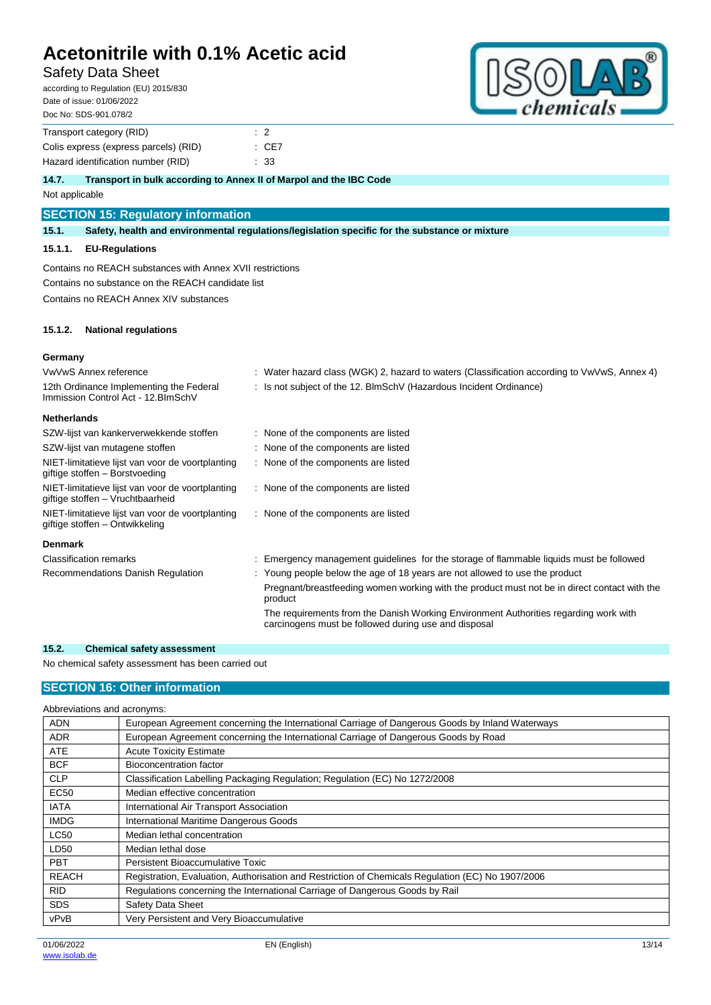## Safety Data Sheet

according to Regulation (EU) 2015/830 Date of issue: 01/06/2022 Doc No: SDS-901.078/2

| DUU INU. JDJ-901.UI 0/4               |                |       |
|---------------------------------------|----------------|-------|
| Transport category (RID)              | $\therefore$ 2 |       |
| Colis express (express parcels) (RID) |                | : CE7 |
| Hazard identification number (RID)    |                | : 33  |

### **14.7. Transport in bulk according to Annex II of Marpol and the IBC Code**

Not applicable

### **SECTION 15: Regulatory information**

**15.1. Safety, health and environmental regulations/legislation specific for the substance or mixture**

#### **15.1.1. EU-Regulations**

Contains no REACH substances with Annex XVII restrictions Contains no substance on the REACH candidate list Contains no REACH Annex XIV substances

### **15.1.2. National regulations**

#### **Germany**

| VwVwS Annex reference                                                                | : Water hazard class (WGK) 2, hazard to waters (Classification according to VwVwS, Annex 4)                                                  |
|--------------------------------------------------------------------------------------|----------------------------------------------------------------------------------------------------------------------------------------------|
| 12th Ordinance Implementing the Federal<br>Immission Control Act - 12. BlmSchV       | : Is not subject of the 12. BlmSchV (Hazardous Incident Ordinance)                                                                           |
| <b>Netherlands</b>                                                                   |                                                                                                                                              |
| SZW-lijst van kankerverwekkende stoffen                                              | : None of the components are listed                                                                                                          |
| SZW-lijst van mutagene stoffen                                                       | : None of the components are listed                                                                                                          |
| NIET-limitatieve lijst van voor de voortplanting<br>giftige stoffen - Borstvoeding   | : None of the components are listed                                                                                                          |
| NIET-limitatieve lijst van voor de voortplanting<br>giftige stoffen - Vruchtbaarheid | : None of the components are listed                                                                                                          |
| NIET-limitatieve lijst van voor de voortplanting<br>giftige stoffen – Ontwikkeling   | : None of the components are listed                                                                                                          |
| <b>Denmark</b>                                                                       |                                                                                                                                              |
| <b>Classification remarks</b>                                                        | Emergency management guidelines for the storage of flammable liquids must be followed                                                        |
| Recommendations Danish Regulation                                                    | : Young people below the age of 18 years are not allowed to use the product                                                                  |
|                                                                                      | Pregnant/breastfeeding women working with the product must not be in direct contact with the<br>product                                      |
|                                                                                      | The requirements from the Danish Working Environment Authorities regarding work with<br>carcinogens must be followed during use and disposal |

### **15.2. Chemical safety assessment**

No chemical safety assessment has been carried out

## **SECTION 16: Other information**

| Abbreviations and acronyms: |                                                                                                   |
|-----------------------------|---------------------------------------------------------------------------------------------------|
| <b>ADN</b>                  | European Agreement concerning the International Carriage of Dangerous Goods by Inland Waterways   |
| <b>ADR</b>                  | European Agreement concerning the International Carriage of Dangerous Goods by Road               |
| <b>ATE</b>                  | <b>Acute Toxicity Estimate</b>                                                                    |
| <b>BCF</b>                  | Bioconcentration factor                                                                           |
| <b>CLP</b>                  | Classification Labelling Packaging Regulation; Regulation (EC) No 1272/2008                       |
| <b>EC50</b>                 | Median effective concentration                                                                    |
| <b>IATA</b>                 | International Air Transport Association                                                           |
| <b>IMDG</b>                 | International Maritime Dangerous Goods                                                            |
| <b>LC50</b>                 | Median lethal concentration                                                                       |
| LD50                        | Median lethal dose                                                                                |
| <b>PBT</b>                  | Persistent Bioaccumulative Toxic                                                                  |
| <b>REACH</b>                | Registration, Evaluation, Authorisation and Restriction of Chemicals Regulation (EC) No 1907/2006 |
| <b>RID</b>                  | Regulations concerning the International Carriage of Dangerous Goods by Rail                      |
| <b>SDS</b>                  | Safety Data Sheet                                                                                 |
| vPvB                        | Very Persistent and Very Bioaccumulative                                                          |